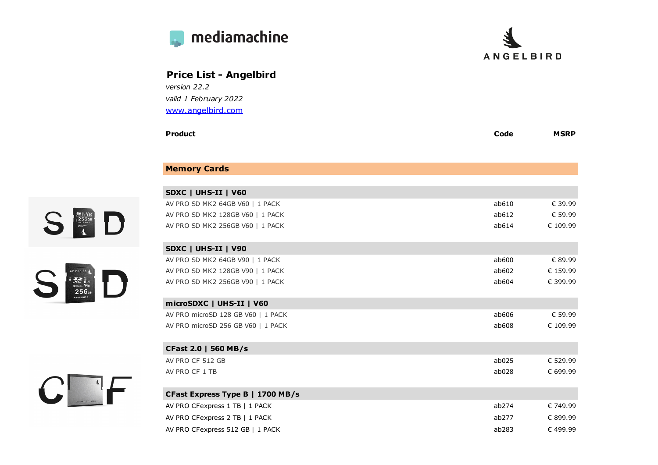

 $C$  of



| <b>Price List - Angelbird</b>                          |       |             |
|--------------------------------------------------------|-------|-------------|
| version 22.2                                           |       |             |
| valid 1 February 2022                                  |       |             |
| www.angelbird.com                                      |       |             |
| <b>Product</b>                                         | Code  | <b>MSRP</b> |
| <b>Memory Cards</b>                                    |       |             |
|                                                        |       |             |
| SDXC   UHS-II   V60<br>AV PRO SD MK2 64GB V60   1 PACK | ab610 | € 39.99     |
| AV PRO SD MK2 128GB V60   1 PACK                       | ab612 | € 59.99     |
| AV PRO SD MK2 256GB V60   1 PACK                       | ab614 | € 109.99    |
| SDXC   UHS-II   V90                                    |       |             |
| AV PRO SD MK2 64GB V90   1 PACK                        | ab600 | € 89.99     |
| AV PRO SD MK2 128GB V90   1 PACK                       | ab602 | € 159.99    |
| AV PRO SD MK2 256GB V90   1 PACK                       | ab604 | € 399.99    |
| microSDXC   UHS-II   V60                               |       |             |
| AV PRO microSD 128 GB V60   1 PACK                     | ab606 | € 59.99     |
| AV PRO microSD 256 GB V60   1 PACK                     | ab608 | € 109.99    |
| <b>CFast 2.0   560 MB/s</b>                            |       |             |
| AV PRO CF 512 GB                                       | ab025 | € 529.99    |
| AV PRO CF 1 TB                                         | ab028 | € 699.99    |
| CFast Express Type B   1700 MB/s                       |       |             |
| AV PRO CFexpress 1 TB   1 PACK                         | ab274 | € 749.99    |
| AV PRO CFexpress 2 TB   1 PACK                         | ab277 | € 899.99    |

AV PRO CFexpress 512 GB | 1 PACK  $\epsilon$  499.99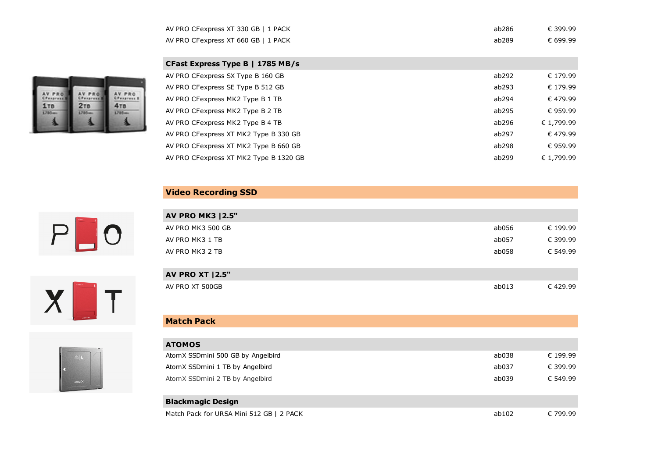| AV PRO CFexpress XT 330 GB   1 PACK | ab286 | € 399.99 |
|-------------------------------------|-------|----------|
| AV PRO CFexpress XT 660 GB   1 PACK | ab289 | € 699.99 |

| CFast Express Type B   1785 MB/s       |       |            |
|----------------------------------------|-------|------------|
| AV PRO CFexpress SX Type B 160 GB      | ab292 | € 179.99   |
| AV PRO CFexpress SE Type B 512 GB      | ab293 | € 179.99   |
| AV PRO CFexpress MK2 Type B 1 TB       | ab294 | € 479.99   |
| AV PRO CFexpress MK2 Type B 2 TB       | ab295 | € 959.99   |
| AV PRO CFexpress MK2 Type B 4 TB       | ab296 | € 1,799.99 |
| AV PRO CFexpress XT MK2 Type B 330 GB  | ab297 | € 479.99   |
| AV PRO CFexpress XT MK2 Type B 660 GB  | ab298 | € 959.99   |
| AV PRO CFexpress XT MK2 Type B 1320 GB | ab299 | € 1,799.99 |
|                                        |       |            |

## **Video Recording SSD**

|--|





| <b>AV PRO MK3   2.5"</b> |       |          |
|--------------------------|-------|----------|
| AV PRO MK3 500 GB        | ab056 | € 199.99 |
| AV PRO MK3 1 TB          | ab057 | € 399.99 |
| AV PRO MK3 2 TB          | ab058 | € 549.99 |
|                          |       |          |
| <b>AV PRO XT   2.5"</b>  |       |          |
| AV PRO XT 500GB          | ab013 | € 429.99 |

## **Match Pack**

| <b>ATOMOS</b>                     |       |          |
|-----------------------------------|-------|----------|
| AtomX SSDmini 500 GB by Angelbird | ab038 | € 199.99 |
| AtomX SSDmini 1 TB by Angelbird   | ab037 | € 399.99 |
| AtomX SSDmini 2 TB by Angelbird   | ab039 | € 549.99 |
|                                   |       |          |
| <b>Blackmagic Design</b>          |       |          |

Match Pack for URSA Mini 512 GB | 2 PACK  $\epsilon$  799.99